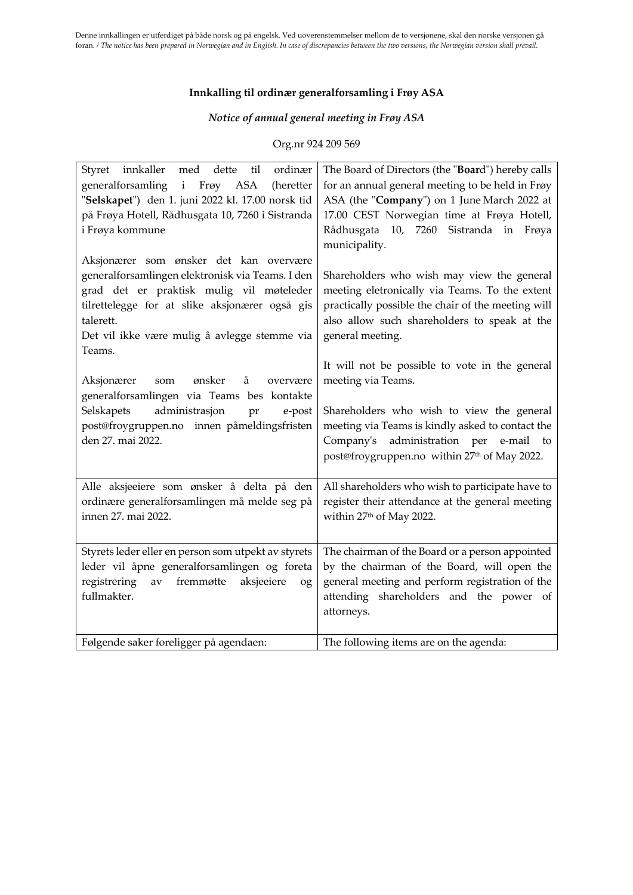### **Innkalling til ordinær generalforsamling i Frøy ASA**

# *Notice of annual general meeting in Frøy ASA*

### Org.nr 924 209 569

| ordinær<br>innkaller<br>med dette<br>Styret<br>til<br>generalforsamling i<br>Frøy ASA<br>(heretter<br>"Selskapet") den 1. juni 2022 kl. 17.00 norsk tid<br>på Frøya Hotell, Rådhusgata 10, 7260 i Sistranda<br>i Frøya kommune                                  | The Board of Directors (the "Board") hereby calls<br>for an annual general meeting to be held in Frøy<br>ASA (the "Company") on 1 June March 2022 at<br>17.00 CEST Norwegian time at Frøya Hotell,<br>Rådhusgata 10, 7260<br>Sistranda in Frøya<br>municipality.            |
|-----------------------------------------------------------------------------------------------------------------------------------------------------------------------------------------------------------------------------------------------------------------|-----------------------------------------------------------------------------------------------------------------------------------------------------------------------------------------------------------------------------------------------------------------------------|
| Aksjonærer som ønsker det kan overvære<br>generalforsamlingen elektronisk via Teams. I den<br>grad det er praktisk mulig vil møteleder<br>tilrettelegge for at slike aksjonærer også gis<br>talerett.<br>Det vil ikke være mulig å avlegge stemme via<br>Teams. | Shareholders who wish may view the general<br>meeting eletronically via Teams. To the extent<br>practically possible the chair of the meeting will<br>also allow such shareholders to speak at the<br>general meeting.                                                      |
| ønsker<br>Aksjonærer<br>å<br>som<br>overvære<br>generalforsamlingen via Teams bes kontakte<br>administrasjon<br>Selskapets<br>pr<br>e-post<br>post@froygruppen.no innen påmeldingsfristen<br>den 27. mai 2022.                                                  | It will not be possible to vote in the general<br>meeting via Teams.<br>Shareholders who wish to view the general<br>meeting via Teams is kindly asked to contact the<br>Company's administration per e-mail to<br>post@froygruppen.no within 27 <sup>th</sup> of May 2022. |
| Alle aksjeeiere som ønsker å delta på den<br>ordinære generalforsamlingen må melde seg på<br>innen 27. mai 2022.                                                                                                                                                | All shareholders who wish to participate have to<br>register their attendance at the general meeting<br>within 27 <sup>th</sup> of May 2022.                                                                                                                                |
| Styrets leder eller en person som utpekt av styrets<br>leder vil åpne generalforsamlingen og foreta<br>fremmøtte<br>registrering<br>aksjeeiere<br>av<br>og<br>fullmakter.                                                                                       | The chairman of the Board or a person appointed<br>by the chairman of the Board, will open the<br>general meeting and perform registration of the<br>attending shareholders and the power of<br>attorneys.                                                                  |
| Følgende saker foreligger på agendaen:                                                                                                                                                                                                                          | The following items are on the agenda:                                                                                                                                                                                                                                      |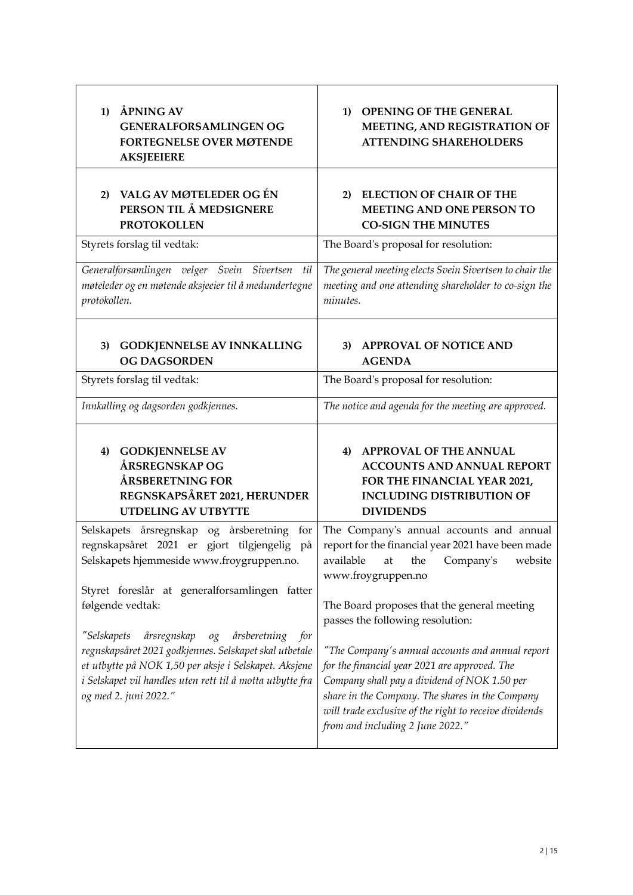| ÅPNING AV<br>$\bf{1}$<br><b>GENERALFORSAMLINGEN OG</b><br>FORTEGNELSE OVER MØTENDE<br><b>AKSJEEIERE</b>                                                                                                                                                                                                 | <b>OPENING OF THE GENERAL</b><br>1)<br>MEETING, AND REGISTRATION OF<br><b>ATTENDING SHAREHOLDERS</b>                                                                                                                                                                                               |  |  |  |  |
|---------------------------------------------------------------------------------------------------------------------------------------------------------------------------------------------------------------------------------------------------------------------------------------------------------|----------------------------------------------------------------------------------------------------------------------------------------------------------------------------------------------------------------------------------------------------------------------------------------------------|--|--|--|--|
| VALG AV MØTELEDER OG ÉN<br>2)<br>PERSON TIL Å MEDSIGNERE<br><b>PROTOKOLLEN</b>                                                                                                                                                                                                                          | <b>ELECTION OF CHAIR OF THE</b><br>2)<br>MEETING AND ONE PERSON TO<br><b>CO-SIGN THE MINUTES</b>                                                                                                                                                                                                   |  |  |  |  |
| Styrets forslag til vedtak:                                                                                                                                                                                                                                                                             | The Board's proposal for resolution:                                                                                                                                                                                                                                                               |  |  |  |  |
| Generalforsamlingen velger Svein Sivertsen<br>til<br>møteleder og en møtende aksjeeier til å medundertegne<br>protokollen.                                                                                                                                                                              | The general meeting elects Svein Sivertsen to chair the<br>meeting and one attending shareholder to co-sign the<br>minutes.                                                                                                                                                                        |  |  |  |  |
| GODKJENNELSE AV INNKALLING<br>3)<br><b>OG DAGSORDEN</b>                                                                                                                                                                                                                                                 | <b>APPROVAL OF NOTICE AND</b><br>3)<br><b>AGENDA</b>                                                                                                                                                                                                                                               |  |  |  |  |
| Styrets forslag til vedtak:                                                                                                                                                                                                                                                                             | The Board's proposal for resolution:                                                                                                                                                                                                                                                               |  |  |  |  |
| Innkalling og dagsorden godkjennes.                                                                                                                                                                                                                                                                     | The notice and agenda for the meeting are approved.                                                                                                                                                                                                                                                |  |  |  |  |
| <b>GODKJENNELSE AV</b><br>4)<br>ÅRSREGNSKAP OG<br>ÅRSBERETNING FOR<br>REGNSKAPSÅRET 2021, HERUNDER<br><b>UTDELING AV UTBYTTE</b>                                                                                                                                                                        | <b>APPROVAL OF THE ANNUAL</b><br>4)<br><b>ACCOUNTS AND ANNUAL REPORT</b><br>FOR THE FINANCIAL YEAR 2021,<br><b>INCLUDING DISTRIBUTION OF</b><br><b>DIVIDENDS</b>                                                                                                                                   |  |  |  |  |
| Selskapets årsregnskap og årsberetning<br>for<br>regnskapsåret 2021 er gjort tilgjengelig på<br>Selskapets hjemmeside www.froygruppen.no.<br>Styret foreslår at generalforsamlingen fatter                                                                                                              | The Company's annual accounts and annual<br>report for the financial year 2021 have been made<br>available at the Company's website<br>www.froygruppen.no                                                                                                                                          |  |  |  |  |
| følgende vedtak:                                                                                                                                                                                                                                                                                        | The Board proposes that the general meeting<br>passes the following resolution:                                                                                                                                                                                                                    |  |  |  |  |
| "Selskapets<br>årsregnskap<br>årsberetning<br>$\mathcal{O}^{\mathcal{O}}_{\mathcal{S}}$<br>for<br>regnskapsåret 2021 godkjennes. Selskapet skal utbetale<br>et utbytte på NOK 1,50 per aksje i Selskapet. Aksjene<br>i Selskapet vil handles uten rett til å motta utbytte fra<br>og med 2. juni 2022." | "The Company's annual accounts and annual report<br>for the financial year 2021 are approved. The<br>Company shall pay a dividend of NOK 1.50 per<br>share in the Company. The shares in the Company<br>will trade exclusive of the right to receive dividends<br>from and including 2 June 2022." |  |  |  |  |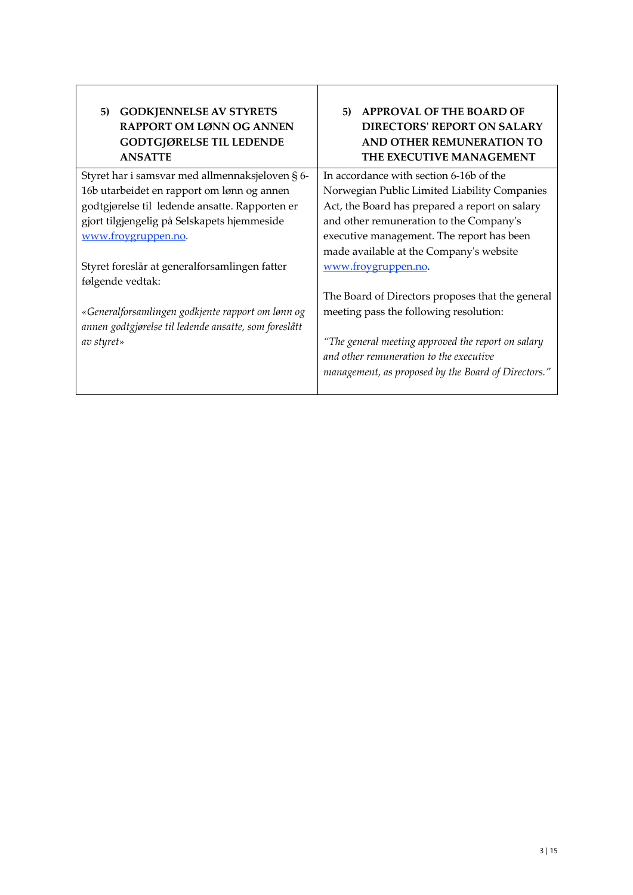| <b>GODKJENNELSE AV STYRETS</b><br>5)<br><b>RAPPORT OM LØNN OG ANNEN</b><br><b>GODTGJØRELSE TIL LEDENDE</b><br><b>ANSATTE</b> | <b>APPROVAL OF THE BOARD OF</b><br>5)<br><b>DIRECTORS' REPORT ON SALARY</b><br><b>AND OTHER REMUNERATION TO</b><br>THE EXECUTIVE MANAGEMENT |  |  |  |  |
|------------------------------------------------------------------------------------------------------------------------------|---------------------------------------------------------------------------------------------------------------------------------------------|--|--|--|--|
| Styret har i samsvar med allmennaksjeloven § 6-                                                                              | In accordance with section 6-16b of the                                                                                                     |  |  |  |  |
| 16b utarbeidet en rapport om lønn og annen                                                                                   | Norwegian Public Limited Liability Companies                                                                                                |  |  |  |  |
| godtgjørelse til ledende ansatte. Rapporten er                                                                               | Act, the Board has prepared a report on salary                                                                                              |  |  |  |  |
| gjort tilgjengelig på Selskapets hjemmeside                                                                                  | and other remuneration to the Company's                                                                                                     |  |  |  |  |
| www.froygruppen.no.                                                                                                          | executive management. The report has been                                                                                                   |  |  |  |  |
|                                                                                                                              | made available at the Company's website                                                                                                     |  |  |  |  |
| Styret foreslår at generalforsamlingen fatter                                                                                | www.froygruppen.no.                                                                                                                         |  |  |  |  |
| følgende vedtak:                                                                                                             |                                                                                                                                             |  |  |  |  |
|                                                                                                                              | The Board of Directors proposes that the general                                                                                            |  |  |  |  |
| «Generalforsamlingen godkjente rapport om lønn og<br>annen godtgjørelse til ledende ansatte, som foreslått                   | meeting pass the following resolution:                                                                                                      |  |  |  |  |
| av styret»                                                                                                                   | "The general meeting approved the report on salary                                                                                          |  |  |  |  |
|                                                                                                                              | and other remuneration to the executive<br>management, as proposed by the Board of Directors."                                              |  |  |  |  |
|                                                                                                                              |                                                                                                                                             |  |  |  |  |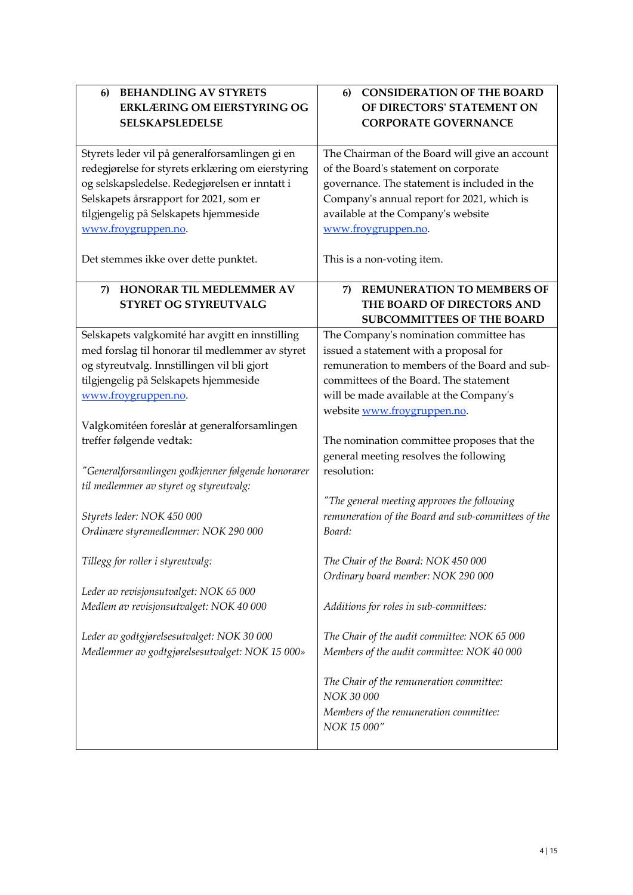| <b>BEHANDLING AV STYRETS</b><br>6)<br><b>ERKLÆRING OM EIERSTYRING OG</b><br><b>SELSKAPSLEDELSE</b>  | <b>CONSIDERATION OF THE BOARD</b><br>6)<br>OF DIRECTORS' STATEMENT ON<br><b>CORPORATE GOVERNANCE</b> |  |  |  |  |  |
|-----------------------------------------------------------------------------------------------------|------------------------------------------------------------------------------------------------------|--|--|--|--|--|
|                                                                                                     |                                                                                                      |  |  |  |  |  |
| Styrets leder vil på generalforsamlingen gi en<br>redegjørelse for styrets erklæring om eierstyring | The Chairman of the Board will give an account<br>of the Board's statement on corporate              |  |  |  |  |  |
| og selskapsledelse. Redegjørelsen er inntatt i                                                      | governance. The statement is included in the                                                         |  |  |  |  |  |
| Selskapets årsrapport for 2021, som er                                                              | Company's annual report for 2021, which is                                                           |  |  |  |  |  |
| tilgjengelig på Selskapets hjemmeside                                                               | available at the Company's website                                                                   |  |  |  |  |  |
| www.froygruppen.no.                                                                                 | www.froygruppen.no.                                                                                  |  |  |  |  |  |
| Det stemmes ikke over dette punktet.                                                                | This is a non-voting item.                                                                           |  |  |  |  |  |
| HONORAR TIL MEDLEMMER AV<br>7)                                                                      | <b>REMUNERATION TO MEMBERS OF</b><br>7)                                                              |  |  |  |  |  |
| STYRET OG STYREUTVALG                                                                               | THE BOARD OF DIRECTORS AND                                                                           |  |  |  |  |  |
|                                                                                                     | <b>SUBCOMMITTEES OF THE BOARD</b>                                                                    |  |  |  |  |  |
| Selskapets valgkomité har avgitt en innstilling                                                     | The Company's nomination committee has                                                               |  |  |  |  |  |
| med forslag til honorar til medlemmer av styret                                                     | issued a statement with a proposal for                                                               |  |  |  |  |  |
| og styreutvalg. Innstillingen vil bli gjort                                                         | remuneration to members of the Board and sub-                                                        |  |  |  |  |  |
| tilgjengelig på Selskapets hjemmeside                                                               | committees of the Board. The statement                                                               |  |  |  |  |  |
| www.froygruppen.no.                                                                                 | will be made available at the Company's                                                              |  |  |  |  |  |
|                                                                                                     | website www.froygruppen.no.                                                                          |  |  |  |  |  |
| Valgkomitéen foreslår at generalforsamlingen<br>treffer følgende vedtak:                            |                                                                                                      |  |  |  |  |  |
|                                                                                                     | The nomination committee proposes that the<br>general meeting resolves the following                 |  |  |  |  |  |
| "Generalforsamlingen godkjenner følgende honorarer                                                  | resolution:                                                                                          |  |  |  |  |  |
| til medlemmer av styret og styreutvalg:                                                             |                                                                                                      |  |  |  |  |  |
|                                                                                                     | "The general meeting approves the following                                                          |  |  |  |  |  |
| Styrets leder: NOK 450 000                                                                          | remuneration of the Board and sub-committees of the                                                  |  |  |  |  |  |
| Ordinære styremedlemmer: NOK 290 000                                                                | Board:                                                                                               |  |  |  |  |  |
|                                                                                                     |                                                                                                      |  |  |  |  |  |
| Tillegg for roller i styreutvalg:                                                                   | The Chair of the Board: NOK 450 000                                                                  |  |  |  |  |  |
|                                                                                                     | Ordinary board member: NOK 290 000                                                                   |  |  |  |  |  |
| Leder av revisjonsutvalget: NOK 65 000                                                              |                                                                                                      |  |  |  |  |  |
| Medlem av revisjonsutvalget: NOK 40 000                                                             | Additions for roles in sub-committees:                                                               |  |  |  |  |  |
|                                                                                                     |                                                                                                      |  |  |  |  |  |
| Leder av godtgjørelsesutvalget: NOK 30 000                                                          | The Chair of the audit committee: NOK 65 000                                                         |  |  |  |  |  |
| Medlemmer av godtgjørelsesutvalget: NOK 15 000»                                                     | Members of the audit committee: NOK 40 000                                                           |  |  |  |  |  |
|                                                                                                     | The Chair of the remuneration committee:                                                             |  |  |  |  |  |
|                                                                                                     | NOK 30 000                                                                                           |  |  |  |  |  |
|                                                                                                     | Members of the remuneration committee:                                                               |  |  |  |  |  |
|                                                                                                     | NOK 15 000"                                                                                          |  |  |  |  |  |
|                                                                                                     |                                                                                                      |  |  |  |  |  |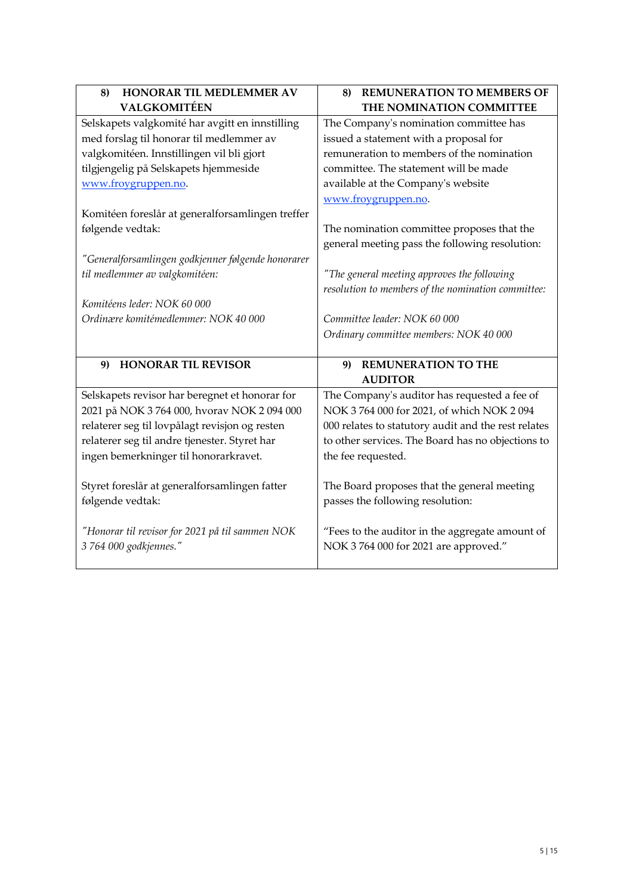| HONORAR TIL MEDLEMMER AV<br>8)                     | <b>REMUNERATION TO MEMBERS OF</b><br>8)             |  |  |  |  |  |
|----------------------------------------------------|-----------------------------------------------------|--|--|--|--|--|
| <b>VALGKOMITÉEN</b>                                | THE NOMINATION COMMITTEE                            |  |  |  |  |  |
| Selskapets valgkomité har avgitt en innstilling    | The Company's nomination committee has              |  |  |  |  |  |
| med forslag til honorar til medlemmer av           | issued a statement with a proposal for              |  |  |  |  |  |
| valgkomitéen. Innstillingen vil bli gjort          | remuneration to members of the nomination           |  |  |  |  |  |
| tilgjengelig på Selskapets hjemmeside              | committee. The statement will be made               |  |  |  |  |  |
| www.froygruppen.no.                                | available at the Company's website                  |  |  |  |  |  |
|                                                    | www.froygruppen.no.                                 |  |  |  |  |  |
| Komitéen foreslår at generalforsamlingen treffer   |                                                     |  |  |  |  |  |
| følgende vedtak:                                   | The nomination committee proposes that the          |  |  |  |  |  |
|                                                    | general meeting pass the following resolution:      |  |  |  |  |  |
| "Generalforsamlingen godkjenner følgende honorarer |                                                     |  |  |  |  |  |
| til medlemmer av valgkomitéen:                     | "The general meeting approves the following         |  |  |  |  |  |
|                                                    | resolution to members of the nomination committee:  |  |  |  |  |  |
| Komitéens leder: NOK 60 000                        |                                                     |  |  |  |  |  |
| Ordinære komitémedlemmer: NOK 40 000               | Committee leader: NOK 60 000                        |  |  |  |  |  |
|                                                    | Ordinary committee members: NOK 40 000              |  |  |  |  |  |
|                                                    |                                                     |  |  |  |  |  |
| <b>HONORAR TIL REVISOR</b><br>9)                   | <b>REMUNERATION TO THE</b><br>9)                    |  |  |  |  |  |
|                                                    | <b>AUDITOR</b>                                      |  |  |  |  |  |
| Selskapets revisor har beregnet et honorar for     | The Company's auditor has requested a fee of        |  |  |  |  |  |
| 2021 på NOK 3 764 000, hvorav NOK 2 094 000        | NOK 3 764 000 for 2021, of which NOK 2 094          |  |  |  |  |  |
| relaterer seg til lovpålagt revisjon og resten     | 000 relates to statutory audit and the rest relates |  |  |  |  |  |
| relaterer seg til andre tjenester. Styret har      | to other services. The Board has no objections to   |  |  |  |  |  |
| ingen bemerkninger til honorarkravet.              | the fee requested.                                  |  |  |  |  |  |
|                                                    |                                                     |  |  |  |  |  |
| Styret foreslår at generalforsamlingen fatter      | The Board proposes that the general meeting         |  |  |  |  |  |
| følgende vedtak:                                   | passes the following resolution:                    |  |  |  |  |  |
|                                                    |                                                     |  |  |  |  |  |
| "Honorar til revisor for 2021 på til sammen NOK    | "Fees to the auditor in the aggregate amount of     |  |  |  |  |  |
| 3 764 000 godkjennes."                             | NOK 3 764 000 for 2021 are approved."               |  |  |  |  |  |
|                                                    |                                                     |  |  |  |  |  |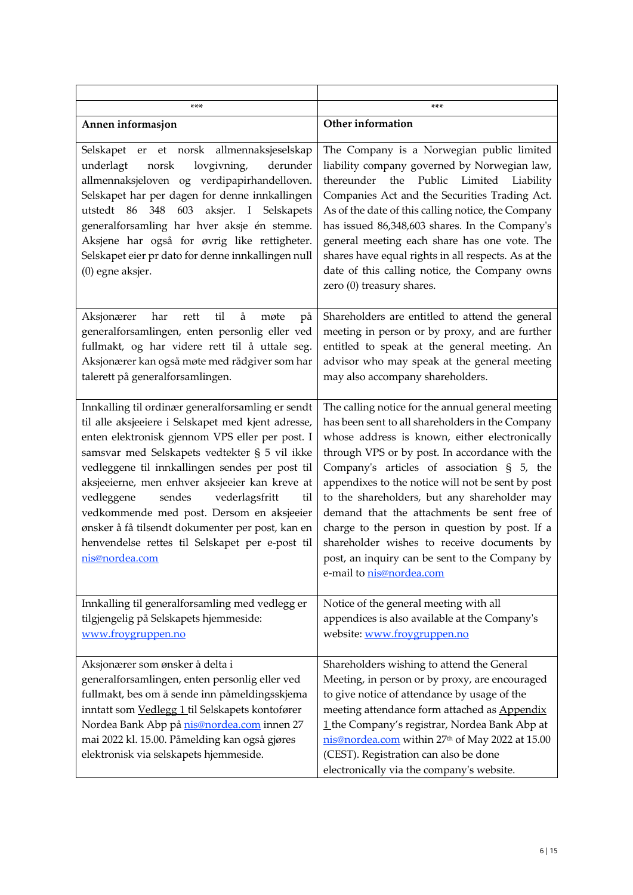| ***                                                                                                                                                                                                                                                                                                                                                                                                                                                                                                                                            | $***$                                                                                                                                                                                                                                                                                                                                                                                                                                                                                                                                                                                    |  |  |  |  |
|------------------------------------------------------------------------------------------------------------------------------------------------------------------------------------------------------------------------------------------------------------------------------------------------------------------------------------------------------------------------------------------------------------------------------------------------------------------------------------------------------------------------------------------------|------------------------------------------------------------------------------------------------------------------------------------------------------------------------------------------------------------------------------------------------------------------------------------------------------------------------------------------------------------------------------------------------------------------------------------------------------------------------------------------------------------------------------------------------------------------------------------------|--|--|--|--|
| Annen informasjon                                                                                                                                                                                                                                                                                                                                                                                                                                                                                                                              | Other information                                                                                                                                                                                                                                                                                                                                                                                                                                                                                                                                                                        |  |  |  |  |
| er et norsk allmennaksjeselskap<br>Selskapet<br>lovgivning,<br>underlagt<br>derunder<br>norsk<br>allmennaksjeloven og verdipapirhandelloven.<br>Selskapet har per dagen for denne innkallingen<br>utstedt 86 348<br>603<br>aksjer. I Selskapets<br>generalforsamling har hver aksje én stemme.<br>Aksjene har også for øvrig like rettigheter.<br>Selskapet eier pr dato for denne innkallingen null<br>(0) egne aksjer.                                                                                                                       | The Company is a Norwegian public limited<br>liability company governed by Norwegian law,<br>thereunder<br>the<br>Public<br>Limited<br>Liability<br>Companies Act and the Securities Trading Act.<br>As of the date of this calling notice, the Company<br>has issued 86,348,603 shares. In the Company's<br>general meeting each share has one vote. The<br>shares have equal rights in all respects. As at the<br>date of this calling notice, the Company owns<br>zero (0) treasury shares.                                                                                           |  |  |  |  |
| å<br>til<br>Aksjonærer<br>har<br>rett<br>møte<br>på<br>generalforsamlingen, enten personlig eller ved<br>fullmakt, og har videre rett til å uttale seg.<br>Aksjonærer kan også møte med rådgiver som har<br>talerett på generalforsamlingen.                                                                                                                                                                                                                                                                                                   | Shareholders are entitled to attend the general<br>meeting in person or by proxy, and are further<br>entitled to speak at the general meeting. An<br>advisor who may speak at the general meeting<br>may also accompany shareholders.                                                                                                                                                                                                                                                                                                                                                    |  |  |  |  |
| Innkalling til ordinær generalforsamling er sendt<br>til alle aksjeeiere i Selskapet med kjent adresse,<br>enten elektronisk gjennom VPS eller per post. I<br>samsvar med Selskapets vedtekter § 5 vil ikke<br>vedleggene til innkallingen sendes per post til<br>aksjeeierne, men enhver aksjeeier kan kreve at<br>vedleggene<br>sendes<br>vederlagsfritt<br>til<br>vedkommende med post. Dersom en aksjeeier<br>ønsker å få tilsendt dokumenter per post, kan en<br>henvendelse rettes til Selskapet per e-post til<br><u>nis@nordea.com</u> | The calling notice for the annual general meeting<br>has been sent to all shareholders in the Company<br>whose address is known, either electronically<br>through VPS or by post. In accordance with the<br>Company's articles of association § 5, the<br>appendixes to the notice will not be sent by post<br>to the shareholders, but any shareholder may<br>demand that the attachments be sent free of<br>charge to the person in question by post. If a<br>shareholder wishes to receive documents by<br>post, an inquiry can be sent to the Company by<br>e-mail to nis@nordea.com |  |  |  |  |
| Innkalling til generalforsamling med vedlegg er<br>tilgjengelig på Selskapets hjemmeside:<br>www.froygruppen.no                                                                                                                                                                                                                                                                                                                                                                                                                                | Notice of the general meeting with all<br>appendices is also available at the Company's<br>website: www.froygruppen.no                                                                                                                                                                                                                                                                                                                                                                                                                                                                   |  |  |  |  |
| Aksjonærer som ønsker å delta i<br>generalforsamlingen, enten personlig eller ved<br>fullmakt, bes om å sende inn påmeldingsskjema<br>inntatt som Vedlegg 1 til Selskapets kontofører<br>Nordea Bank Abp på <b>nis@nordea.com</b> innen 27<br>mai 2022 kl. 15.00. Påmelding kan også gjøres<br>elektronisk via selskapets hjemmeside.                                                                                                                                                                                                          | Shareholders wishing to attend the General<br>Meeting, in person or by proxy, are encouraged<br>to give notice of attendance by usage of the<br>meeting attendance form attached as Appendix<br>1 the Company's registrar, Nordea Bank Abp at<br>nis@nordea.com within 27 <sup>th</sup> of May 2022 at 15.00<br>(CEST). Registration can also be done<br>electronically via the company's website.                                                                                                                                                                                       |  |  |  |  |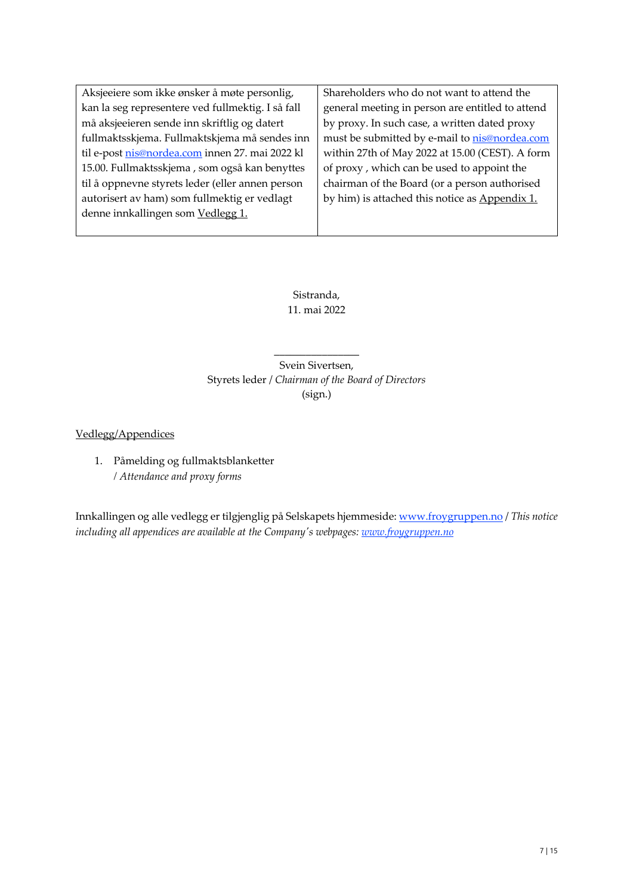Aksjeeiere som ikke ønsker å møte personlig, kan la seg representere ved fullmektig. I så fall må aksjeeieren sende inn skriftlig og datert fullmaktsskjema. Fullmaktskjema må sendes inn til e-post nis@nordea.com innen 27. mai 2022 kl 15.00. Fullmaktsskjema , som også kan benyttes til å oppnevne styrets leder (eller annen person autorisert av ham) som fullmektig er vedlagt denne innkallingen som Vedlegg 1.

Shareholders who do not want to attend the general meeting in person are entitled to attend by proxy. In such case, a written dated proxy must be submitted by e-mail to nis@nordea.com within 27th of May 2022 at 15.00 (CEST). A form of proxy , which can be used to appoint the chairman of the Board (or a person authorised by him) is attached this notice as Appendix 1.

Sistranda, 11. mai 2022

Svein Sivertsen, Styrets leder / *Chairman of the Board of Directors* (sign.)

\_\_\_\_\_\_\_\_\_\_\_\_\_\_\_\_

Vedlegg/Appendices

1. Påmelding og fullmaktsblanketter */ Attendance and proxy forms* 

Innkallingen og alle vedlegg er tilgjenglig på Selskapets hjemmeside: www.froygruppen.no / *This notice including all appendices are available at the Company's webpages: www.froygruppen.no*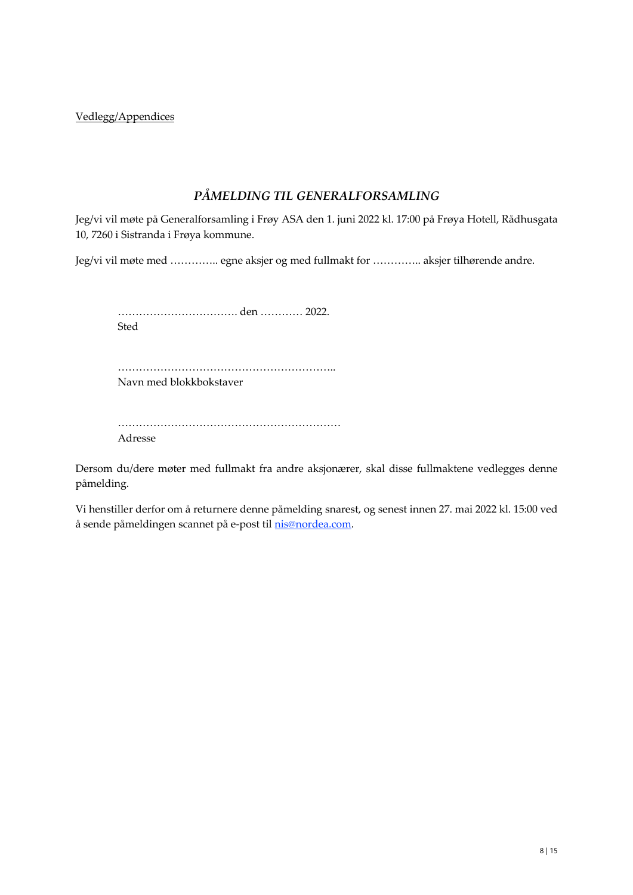Vedlegg/Appendices

## *PÅMELDING TIL GENERALFORSAMLING*

Jeg/vi vil møte på Generalforsamling i Frøy ASA den 1. juni 2022 kl. 17:00 på Frøya Hotell, Rådhusgata 10, 7260 i Sistranda i Frøya kommune.

Jeg/vi vil møte med ………….. egne aksjer og med fullmakt for ………….. aksjer tilhørende andre.

……………………………. den ………… 2022. Sted

…………………………………………………….. Navn med blokkbokstaver

……………………………………………………… Adresse

Dersom du/dere møter med fullmakt fra andre aksjonærer, skal disse fullmaktene vedlegges denne påmelding.

Vi henstiller derfor om å returnere denne påmelding snarest, og senest innen 27. mai 2022 kl. 15:00 ved å sende påmeldingen scannet på e-post til nis@nordea.com.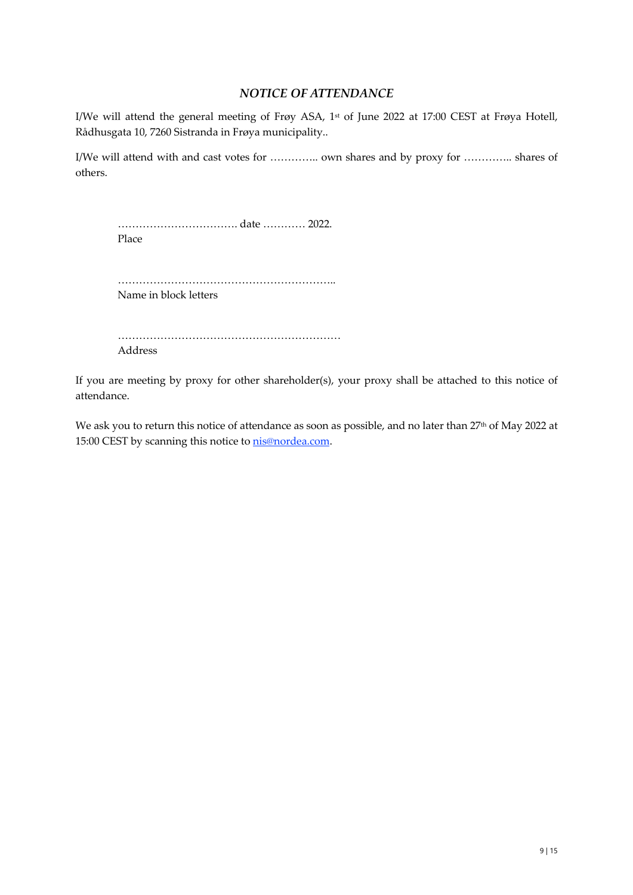### *NOTICE OF ATTENDANCE*

I/We will attend the general meeting of Frøy ASA, 1st of June 2022 at 17:00 CEST at Frøya Hotell, Rådhusgata 10, 7260 Sistranda in Frøya municipality..

I/We will attend with and cast votes for ………….. own shares and by proxy for ………….. shares of others.

……………………………. date ………… 2022. Place

…………………………………………………….. Name in block letters

……………………………………………………… Address

If you are meeting by proxy for other shareholder(s), your proxy shall be attached to this notice of attendance.

We ask you to return this notice of attendance as soon as possible, and no later than 27<sup>th</sup> of May 2022 at 15:00 CEST by scanning this notice to **nis@nordea.com**.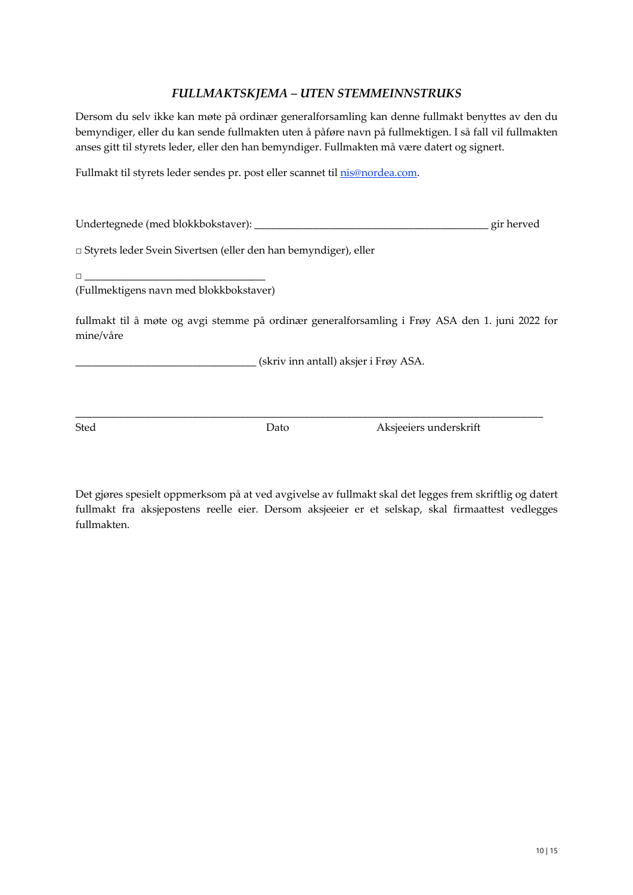### *FULLMAKTSKJEMA – UTEN STEMMEINNSTRUKS*

Dersom du selv ikke kan møte på ordinær generalforsamling kan denne fullmakt benyttes av den du bemyndiger, eller du kan sende fullmakten uten å påføre navn på fullmektigen. I så fall vil fullmakten anses gitt til styrets leder, eller den han bemyndiger. Fullmakten må være datert og signert.

Fullmakt til styrets leder sendes pr. post eller scannet til nis@nordea.com.

| Undertegnede (med blokkbokstaver):                                | gir herved |
|-------------------------------------------------------------------|------------|
| □ Styrets leder Svein Sivertsen (eller den han bemyndiger), eller |            |

□ \_\_\_\_\_\_\_\_\_\_\_\_\_\_\_\_\_\_\_\_\_\_\_\_\_\_\_\_\_\_\_\_\_\_

(Fullmektigens navn med blokkbokstaver)

fullmakt til å møte og avgi stemme på ordinær generalforsamling i Frøy ASA den 1. juni 2022 for mine/våre

 $\_$  . The contribution of the contribution of the contribution of the contribution of  $\mathcal{L}_\text{max}$ 

\_\_\_\_\_\_\_\_\_\_\_\_\_\_\_\_\_\_\_\_\_\_\_\_\_\_\_\_\_\_\_\_\_\_ (skriv inn antall) aksjer i Frøy ASA.

Sted Dato Aksjeeiers underskrift

Det gjøres spesielt oppmerksom på at ved avgivelse av fullmakt skal det legges frem skriftlig og datert fullmakt fra aksjepostens reelle eier. Dersom aksjeeier er et selskap, skal firmaattest vedlegges fullmakten.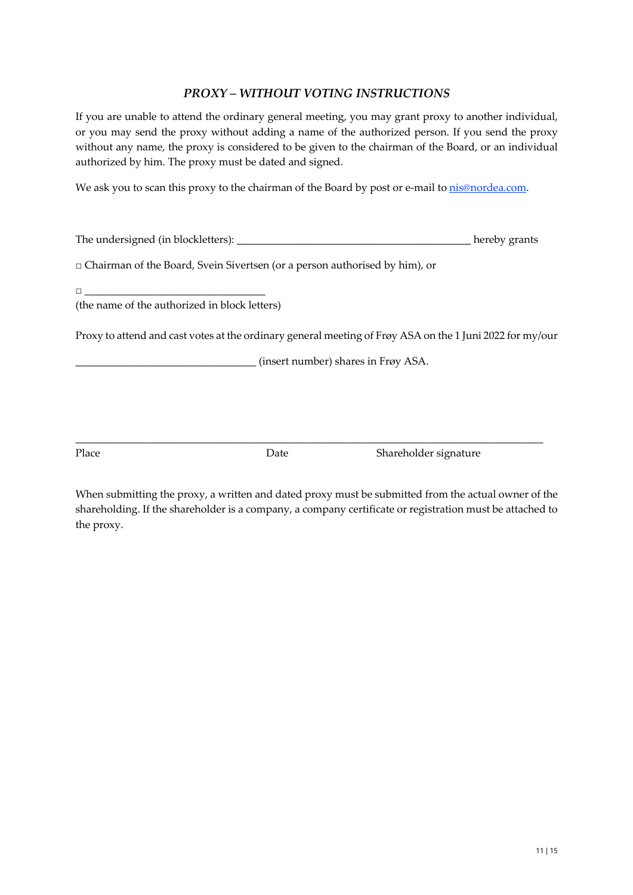### *PROXY – WITHOUT VOTING INSTRUCTIONS*

If you are unable to attend the ordinary general meeting, you may grant proxy to another individual, or you may send the proxy without adding a name of the authorized person. If you send the proxy without any name, the proxy is considered to be given to the chairman of the Board, or an individual authorized by him. The proxy must be dated and signed.

We ask you to scan this proxy to the chairman of the Board by post or e-mail to nis@nordea.com.

| The undersigned (in blockletters): |  | hereby grants |  |
|------------------------------------|--|---------------|--|
|                                    |  |               |  |

□ Chairman of the Board, Svein Sivertsen (or a person authorised by him), or

(the name of the authorized in block letters)

Proxy to attend and cast votes at the ordinary general meeting of Frøy ASA on the 1 Juni 2022 for my/our

\_\_\_\_\_\_\_\_\_\_\_\_\_\_\_\_\_\_\_\_\_\_\_\_\_\_\_\_\_\_\_\_\_\_ (insert number) shares in Frøy ASA.

Place Date Date Shareholder signature

When submitting the proxy, a written and dated proxy must be submitted from the actual owner of the shareholding. If the shareholder is a company, a company certificate or registration must be attached to the proxy.

 $\_$  . The contribution of the contribution of the contribution of the contribution of  $\mathcal{L}_\text{max}$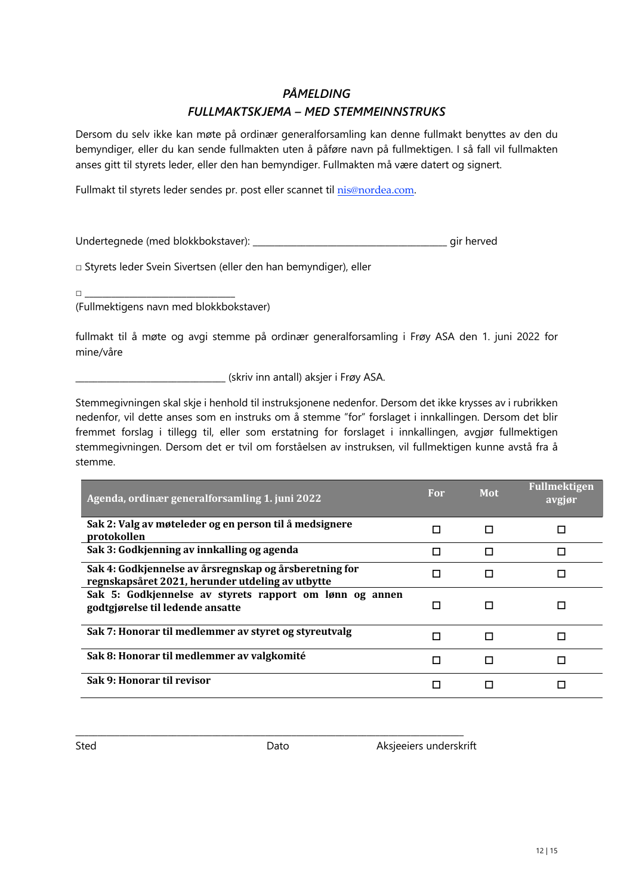## *PÅMELDING*

### *FULLMAKTSKJEMA – MED STEMMEINNSTRUKS*

Dersom du selv ikke kan møte på ordinær generalforsamling kan denne fullmakt benyttes av den du bemyndiger, eller du kan sende fullmakten uten å påføre navn på fullmektigen. I så fall vil fullmakten anses gitt til styrets leder, eller den han bemyndiger. Fullmakten må være datert og signert.

Fullmakt til styrets leder sendes pr. post eller scannet til nis@nordea.com.

Undertegnede (med blokkbokstaver): \_\_\_\_\_\_\_\_\_\_\_\_\_\_\_\_\_\_\_\_\_\_\_\_\_\_\_\_\_\_\_\_\_\_\_\_\_\_\_\_\_\_\_\_ gir herved

□ Styrets leder Svein Sivertsen (eller den han bemyndiger), eller

 $\Box$ 

(Fullmektigens navn med blokkbokstaver)

fullmakt til å møte og avgi stemme på ordinær generalforsamling i Frøy ASA den 1. juni 2022 for mine/våre

\_\_\_\_\_\_\_\_\_\_\_\_\_\_\_\_\_\_\_\_\_\_\_\_\_\_\_\_\_\_\_\_\_\_ (skriv inn antall) aksjer i Frøy ASA.

Stemmegivningen skal skje i henhold til instruksjonene nedenfor. Dersom det ikke krysses av i rubrikken nedenfor, vil dette anses som en instruks om å stemme "for" forslaget i innkallingen. Dersom det blir fremmet forslag i tillegg til, eller som erstatning for forslaget i innkallingen, avgjør fullmektigen stemmegivningen. Dersom det er tvil om forståelsen av instruksen, vil fullmektigen kunne avstå fra å stemme.

| Agenda, ordinær generalforsamling 1. juni 2022                                                             | For | Mot | <b>Fullmektigen</b><br>avgjør |
|------------------------------------------------------------------------------------------------------------|-----|-----|-------------------------------|
| Sak 2: Valg av møteleder og en person til å medsignere<br>protokollen                                      |     |     |                               |
| Sak 3: Godkjenning av innkalling og agenda                                                                 | П   | П   | п                             |
| Sak 4: Godkjennelse av årsregnskap og årsberetning for<br>regnskapsåret 2021, herunder utdeling av utbytte |     |     |                               |
| Sak 5: Godkjennelse av styrets rapport om lønn og annen<br>godtgjørelse til ledende ansatte                |     |     |                               |
| Sak 7: Honorar til medlemmer av styret og styreutvalg                                                      |     |     | п                             |
| Sak 8: Honorar til medlemmer av valgkomité                                                                 |     |     |                               |
| Sak 9: Honorar til revisor                                                                                 |     |     |                               |

\_\_\_\_\_\_\_\_\_\_\_\_\_\_\_\_\_\_\_\_\_\_\_\_\_\_\_\_\_\_\_\_\_\_\_\_\_\_\_\_\_\_\_\_\_\_\_\_\_\_\_\_\_\_\_\_\_\_\_\_\_\_\_\_\_\_\_\_\_\_\_\_\_\_\_\_\_\_\_\_\_\_\_\_\_\_\_\_

Sted **Dato** Dato **Aksjeeiers underskrift**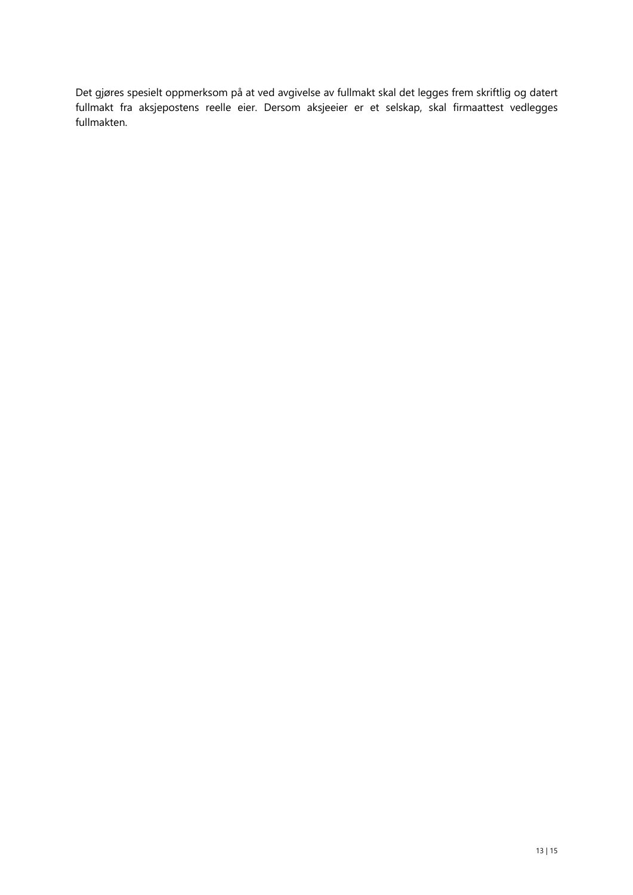Det gjøres spesielt oppmerksom på at ved avgivelse av fullmakt skal det legges frem skriftlig og datert fullmakt fra aksjepostens reelle eier. Dersom aksjeeier er et selskap, skal firmaattest vedlegges fullmakten.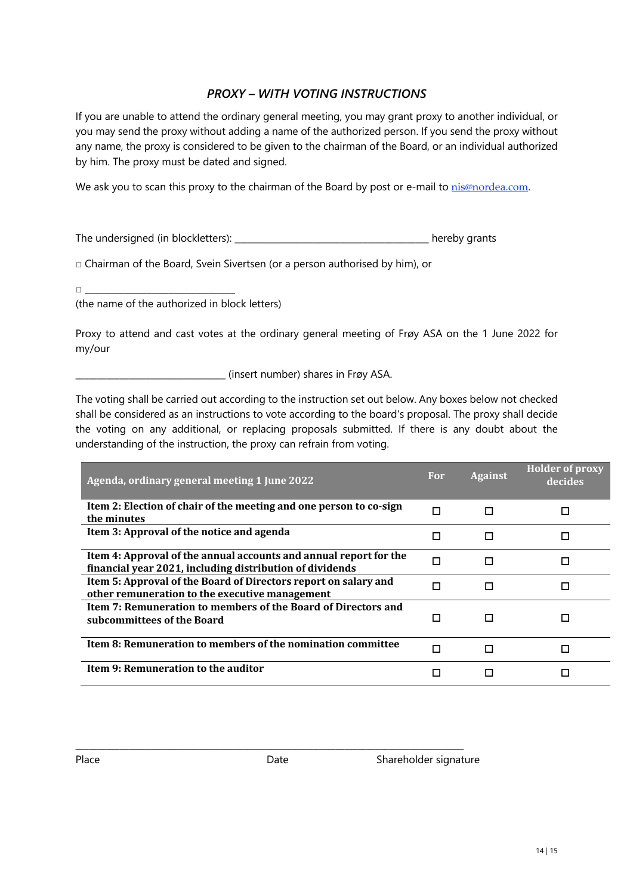## *PROXY – WITH VOTING INSTRUCTIONS*

If you are unable to attend the ordinary general meeting, you may grant proxy to another individual, or you may send the proxy without adding a name of the authorized person. If you send the proxy without any name, the proxy is considered to be given to the chairman of the Board, or an individual authorized by him. The proxy must be dated and signed.

We ask you to scan this proxy to the chairman of the Board by post or e-mail to nis@nordea.com.

The undersigned (in blockletters): \_\_\_\_\_\_\_\_\_\_\_\_\_\_\_\_\_\_\_\_\_\_\_\_\_\_\_\_\_\_\_\_\_\_\_\_\_\_\_\_\_\_\_\_ hereby grants

□ Chairman of the Board, Svein Sivertsen (or a person authorised by him), or

□ \_\_\_\_\_\_\_\_\_\_\_\_\_\_\_\_\_\_\_\_\_\_\_\_\_\_\_\_\_\_\_\_\_\_

(the name of the authorized in block letters)

Proxy to attend and cast votes at the ordinary general meeting of Frøy ASA on the 1 June 2022 for my/our

\_\_\_\_\_\_\_\_\_\_\_\_\_\_\_\_\_\_\_\_\_\_\_\_\_\_\_\_\_\_\_\_\_\_ (insert number) shares in Frøy ASA.

The voting shall be carried out according to the instruction set out below. Any boxes below not checked shall be considered as an instructions to vote according to the board's proposal. The proxy shall decide the voting on any additional, or replacing proposals submitted. If there is any doubt about the understanding of the instruction, the proxy can refrain from voting.

| Agenda, ordinary general meeting 1 June 2022                                                                                  | For | <b>Against</b> | <b>Holder of proxy</b><br>decides |
|-------------------------------------------------------------------------------------------------------------------------------|-----|----------------|-----------------------------------|
| Item 2: Election of chair of the meeting and one person to co-sign<br>the minutes                                             | П   | п              |                                   |
| Item 3: Approval of the notice and agenda                                                                                     |     |                |                                   |
| Item 4: Approval of the annual accounts and annual report for the<br>financial year 2021, including distribution of dividends |     | П              |                                   |
| Item 5: Approval of the Board of Directors report on salary and<br>other remuneration to the executive management             |     |                |                                   |
| Item 7: Remuneration to members of the Board of Directors and<br>subcommittees of the Board                                   |     |                |                                   |
| Item 8: Remuneration to members of the nomination committee                                                                   | п   | п              |                                   |
| Item 9: Remuneration to the auditor                                                                                           |     |                |                                   |

\_\_\_\_\_\_\_\_\_\_\_\_\_\_\_\_\_\_\_\_\_\_\_\_\_\_\_\_\_\_\_\_\_\_\_\_\_\_\_\_\_\_\_\_\_\_\_\_\_\_\_\_\_\_\_\_\_\_\_\_\_\_\_\_\_\_\_\_\_\_\_\_\_\_\_\_\_\_\_\_\_\_\_\_\_\_\_\_

Place **Date** Date Shareholder signature